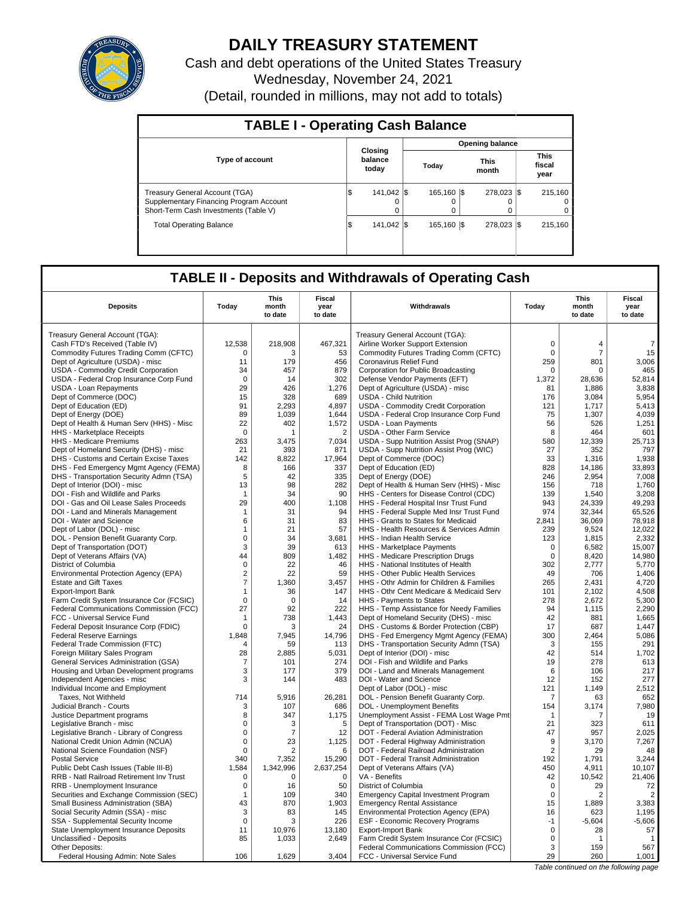

# **DAILY TREASURY STATEMENT**

Cash and debt operations of the United States Treasury Wednesday, November 24, 2021 (Detail, rounded in millions, may not add to totals)

| <b>TABLE I - Operating Cash Balance</b>                                                                            |     |                             |                        |                       |  |                      |  |                                 |  |  |  |  |
|--------------------------------------------------------------------------------------------------------------------|-----|-----------------------------|------------------------|-----------------------|--|----------------------|--|---------------------------------|--|--|--|--|
|                                                                                                                    |     |                             | <b>Opening balance</b> |                       |  |                      |  |                                 |  |  |  |  |
| <b>Type of account</b>                                                                                             |     | Closing<br>balance<br>today |                        | Today                 |  | <b>This</b><br>month |  | <b>This</b><br>fiscal<br>year   |  |  |  |  |
| Treasury General Account (TGA)<br>Supplementary Financing Program Account<br>Short-Term Cash Investments (Table V) | l J | 141.042 S<br>$\Omega$       |                        | 165.160 \\$<br>Ο<br>0 |  | 278.023 \$<br>0      |  | 215.160<br>$\Omega$<br>$\Omega$ |  |  |  |  |
| <b>Total Operating Balance</b>                                                                                     | ß.  | 141.042 S                   |                        | 165.160 \\$           |  | 278.023 \$           |  | 215.160                         |  |  |  |  |

## **TABLE II - Deposits and Withdrawals of Operating Cash**

| <b>Deposits</b>                          | Today          | This<br>month<br>to date | Fiscal<br>year<br>to date | Withdrawals                                 | Today          | <b>This</b><br>month<br>to date | <b>Fiscal</b><br>year<br>to date |
|------------------------------------------|----------------|--------------------------|---------------------------|---------------------------------------------|----------------|---------------------------------|----------------------------------|
| Treasury General Account (TGA):          |                |                          |                           | Treasury General Account (TGA):             |                |                                 |                                  |
| Cash FTD's Received (Table IV)           | 12,538         | 218,908                  | 467,321                   | Airline Worker Support Extension            | $\mathbf 0$    | $\overline{4}$                  | $\overline{7}$                   |
| Commodity Futures Trading Comm (CFTC)    | $\mathbf 0$    | 3                        | 53                        | Commodity Futures Trading Comm (CFTC)       | $\mathbf 0$    | $\overline{7}$                  | 15                               |
| Dept of Agriculture (USDA) - misc        | 11             | 179                      | 456                       | Coronavirus Relief Fund                     | 259            | 801                             | 3,006                            |
| USDA - Commodity Credit Corporation      | 34             | 457                      | 879                       | Corporation for Public Broadcasting         | $\mathbf 0$    | $\mathbf 0$                     | 465                              |
| USDA - Federal Crop Insurance Corp Fund  | $\Omega$       | 14                       | 302                       | Defense Vendor Payments (EFT)               | 1,372          | 28,636                          | 52,814                           |
| <b>USDA - Loan Repayments</b>            | 29             | 426                      | 1,276                     | Dept of Agriculture (USDA) - misc           | 81             | 1,886                           | 3,838                            |
| Dept of Commerce (DOC)                   | 15             | 328                      | 689                       | <b>USDA - Child Nutrition</b>               | 176            | 3,084                           | 5,954                            |
| Dept of Education (ED)                   | 91             | 2,293                    | 4,897                     | <b>USDA - Commodity Credit Corporation</b>  | 121            | 1,717                           | 5,413                            |
| Dept of Energy (DOE)                     | 89             | 1,039                    | 1,644                     | USDA - Federal Crop Insurance Corp Fund     | 75             | 1,307                           | 4,039                            |
| Dept of Health & Human Serv (HHS) - Misc | 22             | 402                      | 1,572                     | <b>USDA - Loan Payments</b>                 | 56             | 526                             | 1,251                            |
| HHS - Marketplace Receipts               | $\mathbf 0$    | 1                        | $\overline{2}$            | <b>USDA - Other Farm Service</b>            | 8              | 464                             | 601                              |
| HHS - Medicare Premiums                  | 263            | 3,475                    | 7,034                     | USDA - Supp Nutrition Assist Prog (SNAP)    | 580            | 12,339                          | 25,713                           |
| Dept of Homeland Security (DHS) - misc   | 21             | 393                      | 871                       | USDA - Supp Nutrition Assist Prog (WIC)     | 27             | 352                             | 797                              |
| DHS - Customs and Certain Excise Taxes   | 142            | 8,822                    | 17,964                    | Dept of Commerce (DOC)                      | 33             | 1,316                           | 1,938                            |
| DHS - Fed Emergency Mgmt Agency (FEMA)   | 8              | 166                      | 337                       | Dept of Education (ED)                      | 828            | 14.186                          | 33,893                           |
| DHS - Transportation Security Admn (TSA) | 5              | 42                       | 335                       | Dept of Energy (DOE)                        | 246            | 2,954                           | 7,008                            |
| Dept of Interior (DOI) - misc            | 13             | 98                       | 282                       | Dept of Health & Human Serv (HHS) - Misc    | 156            | 718                             | 1,760                            |
| DOI - Fish and Wildlife and Parks        | $\mathbf{1}$   | 34                       | 90                        | HHS - Centers for Disease Control (CDC)     | 139            | 1.540                           | 3,208                            |
| DOI - Gas and Oil Lease Sales Proceeds   | 29             | 400                      | 1,108                     | HHS - Federal Hospital Insr Trust Fund      | 943            | 24,339                          | 49,293                           |
| DOI - Land and Minerals Management       | $\mathbf{1}$   | 31                       | 94                        | HHS - Federal Supple Med Insr Trust Fund    | 974            | 32,344                          | 65,526                           |
| DOI - Water and Science                  | 6              | 31                       | 83                        | HHS - Grants to States for Medicaid         | 2,841          | 36,069                          | 78,918                           |
| Dept of Labor (DOL) - misc               | $\mathbf{1}$   | 21                       | 57                        | HHS - Health Resources & Services Admin     | 239            | 9,524                           | 12,022                           |
| DOL - Pension Benefit Guaranty Corp.     | $\mathbf 0$    | 34                       | 3,681                     | HHS - Indian Health Service                 | 123            | 1,815                           | 2,332                            |
| Dept of Transportation (DOT)             | 3              | 39                       | 613                       | HHS - Marketplace Payments                  | $\mathbf 0$    | 6,582                           | 15,007                           |
| Dept of Veterans Affairs (VA)            | 44             | 809                      | 1,482                     | HHS - Medicare Prescription Drugs           | 0              | 8,420                           | 14,980                           |
| District of Columbia                     | $\mathbf 0$    | 22                       | 46                        | HHS - National Institutes of Health         | 302            | 2,777                           | 5,770                            |
| Environmental Protection Agency (EPA)    | $\overline{2}$ | 22                       | 59                        | HHS - Other Public Health Services          | 49             | 706                             | 1,406                            |
| <b>Estate and Gift Taxes</b>             | $\overline{7}$ | 1.360                    | 3.457                     | HHS - Othr Admin for Children & Families    | 265            | 2.431                           | 4.720                            |
| <b>Export-Import Bank</b>                | $\mathbf{1}$   | 36                       | 147                       | HHS - Othr Cent Medicare & Medicaid Serv    | 101            | 2.102                           | 4,508                            |
| Farm Credit System Insurance Cor (FCSIC) | $\mathbf 0$    | $\Omega$                 | 14                        | HHS - Payments to States                    | 278            | 2.672                           | 5,300                            |
| Federal Communications Commission (FCC)  | 27             | 92                       | 222                       | HHS - Temp Assistance for Needy Families    | 94             | 1,115                           | 2,290                            |
| FCC - Universal Service Fund             | $\mathbf{1}$   | 738                      | 1,443                     | Dept of Homeland Security (DHS) - misc      | 42             | 881                             | 1,665                            |
| Federal Deposit Insurance Corp (FDIC)    | $\Omega$       | 3                        | 24                        | DHS - Customs & Border Protection (CBP)     | 17             | 687                             | 1,447                            |
| <b>Federal Reserve Earnings</b>          | 1,848          | 7,945                    | 14,796                    | DHS - Fed Emergency Mgmt Agency (FEMA)      | 300            | 2,464                           | 5,086                            |
| Federal Trade Commission (FTC)           | $\overline{4}$ | 59                       | 113                       | DHS - Transportation Security Admn (TSA)    | 3              | 155                             | 291                              |
| Foreign Military Sales Program           | 28             | 2,885                    | 5,031                     | Dept of Interior (DOI) - misc               | 42             | 514                             | 1,702                            |
| General Services Administration (GSA)    | $\overline{7}$ | 101                      | 274                       | DOI - Fish and Wildlife and Parks           | 19             | 278                             | 613                              |
| Housing and Urban Development programs   | 3              | 177                      | 379                       | DOI - Land and Minerals Management          | 6              | 106                             | 217                              |
| Independent Agencies - misc              | 3              | 144                      | 483                       | DOI - Water and Science                     | 12             | 152                             | 277                              |
| Individual Income and Employment         |                |                          |                           | Dept of Labor (DOL) - misc                  | 121            | 1,149                           | 2,512                            |
| Taxes, Not Withheld                      | 714            | 5,916                    | 26,281                    | DOL - Pension Benefit Guaranty Corp.        | 7              | 63                              | 652                              |
| Judicial Branch - Courts                 | 3              | 107                      | 686                       | <b>DOL</b> - Unemployment Benefits          | 154            | 3,174                           | 7,980                            |
| Justice Department programs              | 8              | 347                      | 1,175                     | Unemployment Assist - FEMA Lost Wage Pmt    | $\mathbf{1}$   | 7                               | 19                               |
| Legislative Branch - misc                | $\mathbf 0$    | 3                        | 5                         | Dept of Transportation (DOT) - Misc         | 21             | 323                             | 611                              |
| Legislative Branch - Library of Congress | $\mathbf 0$    | 7                        | 12                        | DOT - Federal Aviation Administration       | 47             | 957                             | 2,025                            |
| National Credit Union Admin (NCUA)       | $\mathbf 0$    | 23                       | 1,125                     | DOT - Federal Highway Administration        | 9              | 3.170                           | 7,267                            |
| National Science Foundation (NSF)        | $\Omega$       | $\overline{2}$           | 6                         | DOT - Federal Railroad Administration       | $\overline{2}$ | 29                              | 48                               |
| <b>Postal Service</b>                    | 340            | 7,352                    | 15,290                    | DOT - Federal Transit Administration        | 192            | 1,791                           | 3,244                            |
| Public Debt Cash Issues (Table III-B)    | 1,584          | 1,342,996                | 2,637,254                 | Dept of Veterans Affairs (VA)               | 450            | 4,911                           | 10,107                           |
| RRB - Natl Railroad Retirement Inv Trust | $\Omega$       | $\Omega$                 | 0                         | VA - Benefits                               | 42             | 10,542                          | 21,406                           |
| RRB - Unemployment Insurance             | $\mathbf 0$    | 16                       | 50                        | District of Columbia                        | $\mathbf 0$    | 29                              | 72                               |
| Securities and Exchange Commission (SEC) | $\mathbf{1}$   | 109                      | 340                       | <b>Emergency Capital Investment Program</b> | $\mathbf 0$    | 2                               | $\overline{2}$                   |
| Small Business Administration (SBA)      | 43             | 870                      | 1,903                     | <b>Emergency Rental Assistance</b>          | 15             | 1.889                           | 3,383                            |
| Social Security Admin (SSA) - misc       | 3              | 83                       | 145                       | Environmental Protection Agency (EPA)       | 16             | 623                             | 1,195                            |
| SSA - Supplemental Security Income       | $\mathbf 0$    | 3                        | 226                       | <b>ESF - Economic Recovery Programs</b>     | $-1$           | $-5,604$                        | $-5,606$                         |
| State Unemployment Insurance Deposits    | 11             | 10,976                   | 13,180                    | <b>Export-Import Bank</b>                   | $\mathbf 0$    | 28                              | 57                               |
| Unclassified - Deposits                  | 85             | 1,033                    | 2,649                     | Farm Credit System Insurance Cor (FCSIC)    | 0              | $\mathbf 1$                     | $\mathbf{1}$                     |
| Other Deposits:                          |                |                          |                           | Federal Communications Commission (FCC)     | 3              | 159                             | 567                              |
| Federal Housing Admin: Note Sales        | 106            | 1,629                    | 3,404                     | FCC - Universal Service Fund                | 29             | 260                             | 1,001                            |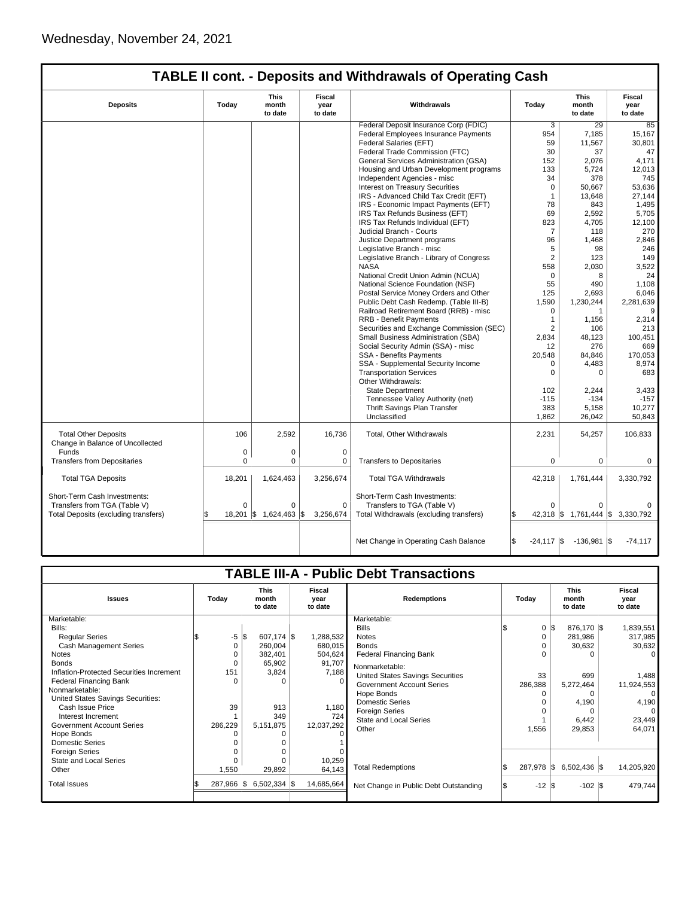|                                                                                                      |          |                                 |                           | <b>TABLE II cont. - Deposits and Withdrawals of Operating Cash</b>                                    |                    |                                              |                           |
|------------------------------------------------------------------------------------------------------|----------|---------------------------------|---------------------------|-------------------------------------------------------------------------------------------------------|--------------------|----------------------------------------------|---------------------------|
| <b>Deposits</b>                                                                                      | Today    | <b>This</b><br>month<br>to date | Fiscal<br>year<br>to date | Withdrawals                                                                                           |                    | <b>This</b><br>month<br>to date              | Fiscal<br>year<br>to date |
|                                                                                                      |          |                                 |                           | Federal Deposit Insurance Corp (FDIC)                                                                 | 3                  | 29                                           | 85                        |
|                                                                                                      |          |                                 |                           | Federal Employees Insurance Payments                                                                  | 954                | 7,185                                        | 15,167                    |
|                                                                                                      |          |                                 |                           | Federal Salaries (EFT)                                                                                | 59                 | 11,567                                       | 30,801                    |
|                                                                                                      |          |                                 |                           | Federal Trade Commission (FTC)                                                                        | 30                 | 37                                           | 47                        |
|                                                                                                      |          |                                 |                           | General Services Administration (GSA)                                                                 | 152                | 2,076                                        | 4,171                     |
|                                                                                                      |          |                                 |                           | Housing and Urban Development programs                                                                | 133                | 5,724                                        | 12,013                    |
|                                                                                                      |          |                                 |                           | Independent Agencies - misc                                                                           | 34                 | 378                                          | 745                       |
|                                                                                                      |          |                                 |                           | Interest on Treasury Securities                                                                       | $\mathbf 0$        | 50,667                                       | 53,636                    |
|                                                                                                      |          |                                 |                           | IRS - Advanced Child Tax Credit (EFT)                                                                 | 1                  | 13,648                                       | 27,144                    |
|                                                                                                      |          |                                 |                           | IRS - Economic Impact Payments (EFT)                                                                  | 78                 | 843                                          | 1,495                     |
|                                                                                                      |          |                                 |                           | IRS Tax Refunds Business (EFT)                                                                        | 69                 | 2,592                                        | 5,705                     |
|                                                                                                      |          |                                 |                           | IRS Tax Refunds Individual (EFT)                                                                      | 823                | 4,705                                        | 12,100                    |
|                                                                                                      |          |                                 |                           | Judicial Branch - Courts                                                                              | 7                  | 118                                          | 270                       |
|                                                                                                      |          |                                 |                           |                                                                                                       | 96                 | 1,468                                        | 2,846                     |
|                                                                                                      |          |                                 |                           | Justice Department programs<br>Legislative Branch - misc                                              | 5                  | 98                                           | 246                       |
|                                                                                                      |          |                                 |                           |                                                                                                       | $\overline{2}$     | 123                                          | 149                       |
|                                                                                                      |          |                                 |                           | Legislative Branch - Library of Congress                                                              |                    |                                              |                           |
|                                                                                                      |          |                                 |                           | <b>NASA</b>                                                                                           | 558                | 2,030                                        | 3,522                     |
|                                                                                                      |          |                                 |                           | National Credit Union Admin (NCUA)                                                                    | $\Omega$           | 8                                            | 24                        |
|                                                                                                      |          |                                 |                           | National Science Foundation (NSF)                                                                     | 55                 | 490                                          | 1.108                     |
|                                                                                                      |          |                                 |                           | Postal Service Money Orders and Other                                                                 | 125                | 2,693                                        | 6,046                     |
|                                                                                                      |          |                                 |                           | Public Debt Cash Redemp. (Table III-B)                                                                | 1,590              | 1,230,244                                    | 2,281,639                 |
|                                                                                                      |          |                                 |                           | Railroad Retirement Board (RRB) - misc                                                                | $\mathbf 0$        | 1                                            | 9                         |
|                                                                                                      |          |                                 |                           | <b>RRB - Benefit Payments</b>                                                                         | $\mathbf{1}$       | 1,156                                        | 2,314                     |
|                                                                                                      |          |                                 |                           | Securities and Exchange Commission (SEC)                                                              | 2                  | 106                                          | 213                       |
|                                                                                                      |          |                                 |                           | Small Business Administration (SBA)                                                                   | 2,834              | 48,123                                       | 100,451                   |
|                                                                                                      |          |                                 |                           | Social Security Admin (SSA) - misc                                                                    | 12                 | 276                                          | 669                       |
|                                                                                                      |          |                                 |                           | SSA - Benefits Payments                                                                               | 20,548             | 84,846                                       | 170,053                   |
|                                                                                                      |          |                                 |                           | SSA - Supplemental Security Income                                                                    | 0                  | 4,483                                        | 8,974                     |
|                                                                                                      |          |                                 |                           | <b>Transportation Services</b>                                                                        | $\mathbf 0$        | 0                                            | 683                       |
|                                                                                                      |          |                                 |                           | Other Withdrawals:                                                                                    |                    |                                              |                           |
|                                                                                                      |          |                                 |                           | <b>State Department</b>                                                                               | 102                | 2,244                                        | 3,433                     |
|                                                                                                      |          |                                 |                           | Tennessee Valley Authority (net)                                                                      | $-115$             | $-134$                                       | $-157$                    |
|                                                                                                      |          |                                 |                           | Thrift Savings Plan Transfer                                                                          | 383                | 5,158                                        | 10,277                    |
|                                                                                                      |          |                                 |                           | Unclassified                                                                                          | 1,862              | 26,042                                       | 50.843                    |
| <b>Total Other Deposits</b><br>Change in Balance of Uncollected                                      | 106      | 2,592                           | 16,736                    | Total, Other Withdrawals                                                                              | 2,231              | 54,257                                       | 106,833                   |
| Funds                                                                                                | 0        | 0                               | $\mathbf 0$               |                                                                                                       |                    |                                              |                           |
| <b>Transfers from Depositaries</b>                                                                   | $\Omega$ | 0                               | 0                         | <b>Transfers to Depositaries</b>                                                                      | 0                  | 0                                            | 0                         |
| <b>Total TGA Deposits</b>                                                                            | 18,201   | 1,624,463                       | 3,256,674                 | <b>Total TGA Withdrawals</b>                                                                          | 42,318             | 1,761,444                                    | 3,330,792                 |
| Short-Term Cash Investments:<br>Transfers from TGA (Table V)<br>Total Deposits (excluding transfers) | $\Omega$ | 0<br>18,201   \$ 1,624,463   \$ | $\mathbf 0$<br>3,256,674  | Short-Term Cash Investments:<br>Transfers to TGA (Table V)<br>Total Withdrawals (excluding transfers) | ∩                  | $\Omega$<br>42,318 \$ 1,761,444 \$ 3,330,792 |                           |
|                                                                                                      |          |                                 |                           | Net Change in Operating Cash Balance                                                                  | \$<br>$-24,117$ \$ | $-136,981$ \$                                | $-74,117$                 |

|                                          |                                          |                               |                                  |            | <b>TABLE III-A - Public Debt Transactions</b> |       |                  |                                 |  |                           |
|------------------------------------------|------------------------------------------|-------------------------------|----------------------------------|------------|-----------------------------------------------|-------|------------------|---------------------------------|--|---------------------------|
| <b>Issues</b>                            | <b>This</b><br>Today<br>month<br>to date |                               | <b>Fiscal</b><br>vear<br>to date |            | <b>Redemptions</b>                            | Todav |                  | <b>This</b><br>month<br>to date |  | Fiscal<br>year<br>to date |
| Marketable:                              |                                          |                               |                                  |            | Marketable:                                   |       |                  |                                 |  |                           |
| Bills:                                   |                                          |                               |                                  |            | <b>Bills</b>                                  |       | $0 \,$ $\upbeta$ | 876,170 \$                      |  | 1,839,551                 |
| <b>Regular Series</b>                    |                                          | $-5$ $\sqrt{5}$<br>607,174 \$ |                                  | 1,288,532  | <b>Notes</b>                                  |       | 0                | 281,986                         |  | 317,985                   |
| <b>Cash Management Series</b>            | 0                                        | 260,004                       |                                  | 680,015    | <b>Bonds</b>                                  |       | $\Omega$         | 30,632                          |  | 30,632                    |
| <b>Notes</b>                             |                                          | 382,401                       |                                  | 504,624    | <b>Federal Financing Bank</b>                 |       |                  | ∩                               |  |                           |
| <b>Bonds</b>                             |                                          | 65,902                        |                                  | 91,707     | Nonmarketable:                                |       |                  |                                 |  |                           |
| Inflation-Protected Securities Increment | 151                                      | 3,824                         |                                  | 7,188      | United States Savings Securities              |       | 33               | 699                             |  | 1,488                     |
| Federal Financing Bank                   |                                          |                               | $\Omega$                         | $\Omega$   | <b>Government Account Series</b>              |       | 286,388          | 5,272,464                       |  | 11,924,553                |
| Nonmarketable:                           |                                          |                               |                                  |            | Hope Bonds                                    |       | $\Omega$         | $\Omega$                        |  | $\Omega$                  |
| United States Savings Securities:        |                                          |                               |                                  |            | <b>Domestic Series</b>                        |       |                  | 4,190                           |  | 4,190                     |
| Cash Issue Price                         | 39                                       | 913                           |                                  | 1,180      | <b>Foreign Series</b>                         |       |                  | $\Omega$                        |  |                           |
| Interest Increment                       |                                          | 349                           |                                  | 724        | <b>State and Local Series</b>                 |       |                  | 6,442                           |  | 23,449                    |
| <b>Government Account Series</b>         | 286,229                                  | 5,151,875                     |                                  | 12,037,292 | Other                                         |       | 1,556            | 29,853                          |  | 64,071                    |
| Hope Bonds                               |                                          |                               |                                  |            |                                               |       |                  |                                 |  |                           |
| <b>Domestic Series</b>                   |                                          |                               |                                  |            |                                               |       |                  |                                 |  |                           |
| <b>Foreign Series</b>                    |                                          |                               | $\Omega$                         |            |                                               |       |                  |                                 |  |                           |
| State and Local Series                   |                                          |                               |                                  | 10,259     |                                               |       |                  |                                 |  |                           |
| Other                                    | 1,550                                    | 29,892                        |                                  | 64,143     | <b>Total Redemptions</b>                      |       | 287,978 \$       | $6,502,436$ \\$                 |  | 14,205,920                |
| <b>Total Issues</b>                      | 287,966 \$                               | $6,502,334$ \$                |                                  | 14,685,664 | Net Change in Public Debt Outstanding         |       | $-12$ \$         | $-102$ \$                       |  | 479,744                   |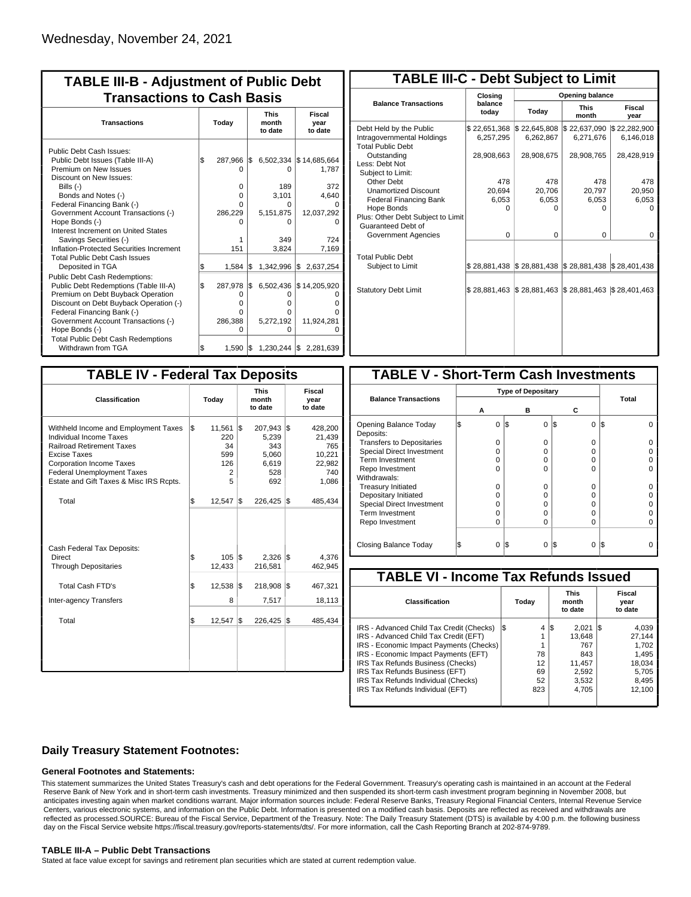| <b>TABLE III-B - Adjustment of Public Debt</b><br><b>Transactions to Cash Basis</b> |     |            |     |                                 |                                 |  |  |  |  |  |
|-------------------------------------------------------------------------------------|-----|------------|-----|---------------------------------|---------------------------------|--|--|--|--|--|
| <b>Transactions</b>                                                                 |     | Today      |     | <b>This</b><br>month<br>to date | Fiscal<br>year<br>to date       |  |  |  |  |  |
| Public Debt Cash Issues:                                                            |     |            |     |                                 |                                 |  |  |  |  |  |
| Public Debt Issues (Table III-A)                                                    | l\$ | 287,966 \$ |     |                                 | 6,502,334 \$14,685,664          |  |  |  |  |  |
| Premium on New Issues                                                               |     | n          |     | $\Omega$                        | 1,787                           |  |  |  |  |  |
| Discount on New Issues:                                                             |     |            |     |                                 |                                 |  |  |  |  |  |
| Bills $(-)$                                                                         |     | 0          |     | 189                             | 372                             |  |  |  |  |  |
| Bonds and Notes (-)                                                                 |     | $\Omega$   |     | 3,101                           | 4.640                           |  |  |  |  |  |
| Federal Financing Bank (-)                                                          |     | O          |     | $\Omega$                        | $\Omega$                        |  |  |  |  |  |
| Government Account Transactions (-)                                                 |     | 286,229    |     | 5,151,875                       | 12,037,292                      |  |  |  |  |  |
| Hope Bonds (-)                                                                      |     |            |     |                                 |                                 |  |  |  |  |  |
| Interest Increment on United States                                                 |     |            |     |                                 |                                 |  |  |  |  |  |
| Savings Securities (-)                                                              |     | 1          |     | 349                             | 724                             |  |  |  |  |  |
| Inflation-Protected Securities Increment                                            |     | 151        |     | 3.824                           | 7,169                           |  |  |  |  |  |
| <b>Total Public Debt Cash Issues</b>                                                |     |            |     |                                 |                                 |  |  |  |  |  |
| Deposited in TGA                                                                    | S   | 1,584      | 1\$ | $1,342,996$ \$                  | 2,637,254                       |  |  |  |  |  |
| <b>Public Debt Cash Redemptions:</b>                                                |     |            |     |                                 |                                 |  |  |  |  |  |
| Public Debt Redemptions (Table III-A)                                               | \$  | 287.978    | l\$ |                                 | 6,502,436 \$14,205,920          |  |  |  |  |  |
| Premium on Debt Buyback Operation                                                   |     | $\Omega$   |     | ი                               | ი                               |  |  |  |  |  |
| Discount on Debt Buyback Operation (-)                                              |     | $\Omega$   |     | Ω                               | Ω                               |  |  |  |  |  |
| Federal Financing Bank (-)                                                          |     | 0          |     | o                               | n                               |  |  |  |  |  |
| Government Account Transactions (-)                                                 |     | 286,388    |     | 5,272,192                       | 11,924,281                      |  |  |  |  |  |
| Hope Bonds (-)                                                                      |     | n          |     |                                 |                                 |  |  |  |  |  |
| <b>Total Public Debt Cash Redemptions</b>                                           |     |            |     |                                 |                                 |  |  |  |  |  |
| Withdrawn from TGA                                                                  | \$  |            |     |                                 | 1,590 \$ 1,230,244 \$ 2,281,639 |  |  |  |  |  |

| <b>TABLE III-C - Debt Subject to Limit</b>                                        |                           |                                                           |                           |                           |  |  |  |  |  |  |
|-----------------------------------------------------------------------------------|---------------------------|-----------------------------------------------------------|---------------------------|---------------------------|--|--|--|--|--|--|
|                                                                                   | Closing                   |                                                           | Opening balance           |                           |  |  |  |  |  |  |
| <b>Balance Transactions</b>                                                       | balance<br>today          | Today                                                     | <b>This</b><br>month      | Fiscal<br>year            |  |  |  |  |  |  |
| Debt Held by the Public<br>Intragovernmental Holdings<br><b>Total Public Debt</b> | \$22,651,368<br>6,257,295 | \$22,645,808<br>6,262,867                                 | \$22,637,090<br>6,271,676 | \$22,282,900<br>6,146,018 |  |  |  |  |  |  |
| Outstanding<br>Less: Debt Not<br>Subject to Limit:                                | 28,908,663                | 28,908,675                                                | 28,908,765                | 28,428,919                |  |  |  |  |  |  |
| Other Debt                                                                        | 478                       | 478                                                       | 478                       | 478                       |  |  |  |  |  |  |
| <b>Unamortized Discount</b>                                                       | 20.694                    | 20,706                                                    | 20,797                    | 20,950                    |  |  |  |  |  |  |
| <b>Federal Financing Bank</b>                                                     | 6,053                     | 6,053                                                     | 6,053                     | 6,053                     |  |  |  |  |  |  |
| Hope Bonds                                                                        | ŋ                         | n                                                         | n                         | n                         |  |  |  |  |  |  |
| Plus: Other Debt Subject to Limit<br>Guaranteed Debt of                           |                           |                                                           |                           |                           |  |  |  |  |  |  |
| Government Agencies                                                               | $\Omega$                  | $\Omega$                                                  | $\Omega$                  | $\Omega$                  |  |  |  |  |  |  |
| <b>Total Public Debt</b><br>Subject to Limit                                      |                           | \$28,881,438   \$28,881,438   \$28,881,438   \$28,401,438 |                           |                           |  |  |  |  |  |  |
| <b>Statutory Debt Limit</b>                                                       | \$28,881,463              | \$28,881,463                                              | \$28,881,463              | \$28,401,463              |  |  |  |  |  |  |

| Today |                                             |  | <b>This</b><br>month<br>to date                         | <b>Fiscal</b><br>year<br>to date                                                                  |
|-------|---------------------------------------------|--|---------------------------------------------------------|---------------------------------------------------------------------------------------------------|
| l\$   | 11,561<br>220<br>34<br>599<br>126<br>2<br>5 |  | 207,943<br>5,239<br>343<br>5,060<br>6,619<br>528<br>692 | 428,200<br>21,439<br>765<br>10,221<br>22,982<br>740<br>1,086                                      |
| \$    | 12,547                                      |  |                                                         | 485,434                                                                                           |
| \$    | 105<br>12,433                               |  | 216,581                                                 | 4,376<br>462,945                                                                                  |
| \$    | 12,538                                      |  | 218,908                                                 | 467,321                                                                                           |
|       | 8                                           |  | 7,517                                                   | 18,113                                                                                            |
| \$    | 12,547                                      |  |                                                         | 485,434                                                                                           |
|       |                                             |  | l\$<br>1\$<br>l\$<br>1\$<br>l\$                         | <b>TABLE IV - Federal Tax Deposits</b><br>l\$<br>$226,425$ \$<br>$2,326$ \\$<br>l\$<br>226,425 \$ |

| <b>TABLE V - Short-Term Cash Investments</b> |   |                           |     |   |     |          |     |       |  |
|----------------------------------------------|---|---------------------------|-----|---|-----|----------|-----|-------|--|
|                                              |   | <b>Type of Depositary</b> |     |   |     |          |     |       |  |
| <b>Balance Transactions</b>                  |   | А                         |     | в |     | С        |     | Total |  |
| Opening Balance Today<br>Deposits:           | S | 0                         | 1\$ | 0 | I\$ | $\Omega$ | l\$ |       |  |
| <b>Transfers to Depositaries</b>             |   | O                         |     | 0 |     | $\Omega$ |     |       |  |
| <b>Special Direct Investment</b>             |   | O                         |     | O |     | 0        |     |       |  |
| Term Investment                              |   | O                         |     | O |     | 0        |     |       |  |
| Repo Investment                              |   | O                         |     | ŋ |     | U        |     |       |  |
| Withdrawals:                                 |   |                           |     |   |     |          |     |       |  |
| <b>Treasury Initiated</b>                    |   | O                         |     | 0 |     | 0        |     |       |  |
| Depositary Initiated                         |   | O                         |     | O |     | 0        |     |       |  |
| <b>Special Direct Investment</b>             |   | Ω                         |     | O |     | 0        |     |       |  |
| <b>Term Investment</b>                       |   | Ω                         |     | O |     | 0        |     |       |  |
| Repo Investment                              |   | 0                         |     | 0 |     | 0        |     |       |  |
| Closing Balance Today                        |   | 0                         | I\$ | 0 | 13  | 0        | I\$ |       |  |

| <b>TABLE VI - Income Tax Refunds Issued</b> |     |       |                                 |        |    |                           |  |  |  |  |  |
|---------------------------------------------|-----|-------|---------------------------------|--------|----|---------------------------|--|--|--|--|--|
| Classification                              |     | Todav | <b>This</b><br>month<br>to date |        |    | Fiscal<br>year<br>to date |  |  |  |  |  |
| IRS - Advanced Child Tax Credit (Checks)    | l\$ | 4     | 1\$                             | 2.021  | 15 | 4,039                     |  |  |  |  |  |
| IRS - Advanced Child Tax Credit (EFT)       |     | 1     |                                 | 13.648 |    | 27,144                    |  |  |  |  |  |
| IRS - Economic Impact Payments (Checks)     |     | 1     |                                 | 767    |    | 1.702                     |  |  |  |  |  |
| IRS - Economic Impact Payments (EFT)        |     | 78    |                                 | 843    |    | 1,495                     |  |  |  |  |  |
| IRS Tax Refunds Business (Checks)           |     | 12    |                                 | 11,457 |    | 18,034                    |  |  |  |  |  |
| IRS Tax Refunds Business (EFT)              |     | 69    |                                 | 2,592  |    | 5.705                     |  |  |  |  |  |
| IRS Tax Refunds Individual (Checks)         |     | 52    |                                 | 3,532  |    | 8,495                     |  |  |  |  |  |
| IRS Tax Refunds Individual (EFT)            |     | 823   |                                 | 4.705  |    | 12,100                    |  |  |  |  |  |
|                                             |     |       |                                 |        |    |                           |  |  |  |  |  |

### **Daily Treasury Statement Footnotes:**

#### **General Footnotes and Statements:**

This statement summarizes the United States Treasury's cash and debt operations for the Federal Government. Treasury's operating cash is maintained in an account at the Federal Reserve Bank of New York and in short-term cash investments. Treasury minimized and then suspended its short-term cash investment program beginning in November 2008, but anticipates investing again when market conditions warrant. Major information sources include: Federal Reserve Banks, Treasury Regional Financial Centers, Internal Revenue Service Centers, various electronic systems, and information on the Public Debt. Information is presented on a modified cash basis. Deposits are reflected as received and withdrawals are reflected as processed.SOURCE: Bureau of the Fiscal Service, Department of the Treasury. Note: The Daily Treasury Statement (DTS) is available by 4:00 p.m. the following business day on the Fiscal Service website https://fiscal.treasury.gov/reports-statements/dts/. For more information, call the Cash Reporting Branch at 202-874-9789.

#### **TABLE III-A – Public Debt Transactions**

Stated at face value except for savings and retirement plan securities which are stated at current redemption value.